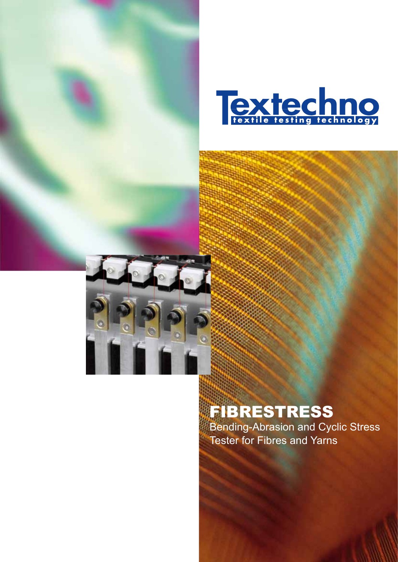



# FIBRESTRESS

Bending-Abrasion and Cyclic Stress Tester for Fibres and Yarns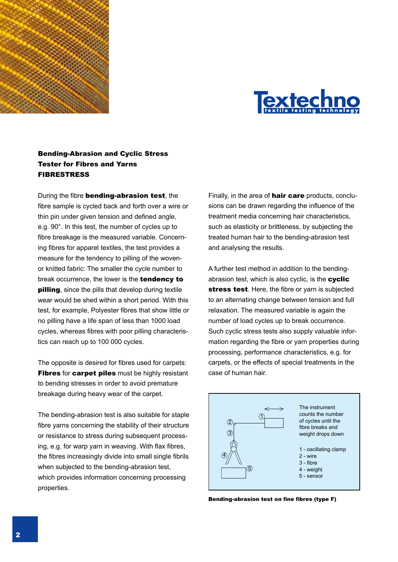



# Bending-Abrasion and Cyclic Stress Tester for Fibres and Yarns FIBRESTRESS

During the fibre bending-abrasion test, the fibre sample is cycled back and forth over a wire or thin pin under given tension and defined angle, e.g. 90°. In this test, the number of cycles up to fibre breakage is the measured variable. Concerning fibres for apparel textiles, the test provides a measure for the tendency to pilling of the wovenor knitted fabric: The smaller the cycle number to break occurrence, the lower is the **tendency to pilling**, since the pills that develop during textile wear would be shed within a short period. With this test, for example, Polyester fibres that show little or no pilling have a life span of less than 1000 load cycles, whereas fibres with poor pilling characteristics can reach up to 100 000 cycles.

The opposite is desired for fibres used for carpets: Fibres for carpet piles must be highly resistant to bending stresses in order to avoid premature breakage during heavy wear of the carpet.

The bending-abrasion test is also suitable for staple fibre yarns concerning the stability of their structure or resistance to stress during subsequent processing, e.g. for warp yarn in weaving. With flax fibres, the fibres increasingly divide into small single fibrils when subjected to the bending-abrasion test, which provides information concerning processing properties.

Finally, in the area of **hair care** products, conclusions can be drawn regarding the influence of the treatment media concerning hair characteristics, such as elasticity or brittleness, by subjecting the treated human hair to the bending-abrasion test and analysing the results.

A further test method in addition to the bendingabrasion test, which is also cyclic, is the **cyclic** stress test. Here, the fibre or varn is subjected to an alternating change between tension and full relaxation. The measured variable is again the number of load cycles up to break occurrence. Such cyclic stress tests also supply valuable information regarding the fibre or yarn properties during processing, performance characteristics, e.g. for carpets, or the effects of special treatments in the case of human hair.



Bending-abrasion test on fine fibres (type F)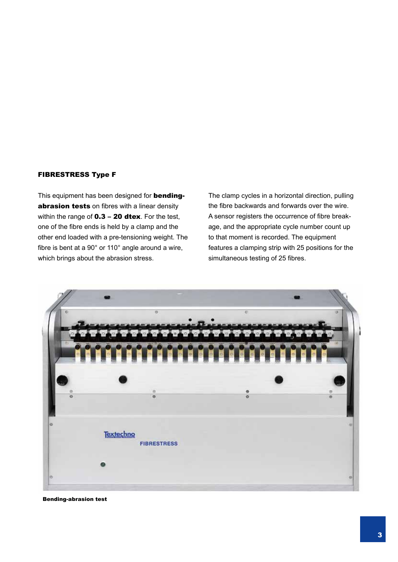## FIBRESTRESS Type F

This equipment has been designed for **bending**abrasion tests on fibres with a linear density within the range of  $0.3 - 20$  dtex. For the test, one of the fibre ends is held by a clamp and the other end loaded with a pre-tensioning weight. The fibre is bent at a 90° or 110° angle around a wire, which brings about the abrasion stress.

The clamp cycles in a horizontal direction, pulling the fibre backwards and forwards over the wire. A sensor registers the occurrence of fibre breakage, and the appropriate cycle number count up to that moment is recorded. The equipment features a clamping strip with 25 positions for the simultaneous testing of 25 fibres.



Bending-abrasion test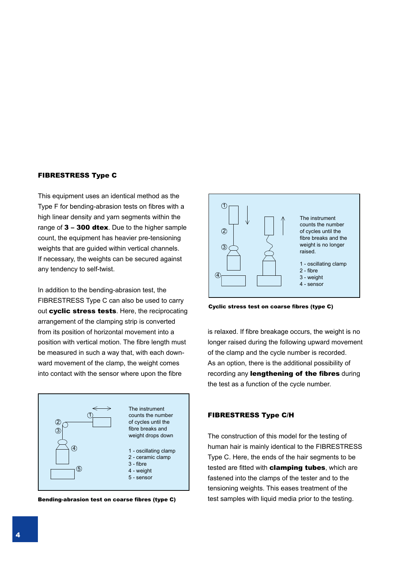#### FIBRESTRESS Type C

This equipment uses an identical method as the Type F for bending-abrasion tests on fibres with a high linear density and yarn segments within the range of  $3 - 300$  dtex. Due to the higher sample count, the equipment has heavier pre-tensioning weights that are guided within vertical channels. If necessary, the weights can be secured against any tendency to self-twist.

In addition to the bending-abrasion test, the FIBRESTRESS Type C can also be used to carry out cyclic stress tests. Here, the reciprocating arrangement of the clamping strip is converted from its position of horizontal movement into a position with vertical motion. The fibre length must be measured in such a way that, with each downward movement of the clamp, the weight comes into contact with the sensor where upon the fibre





Cyclic stress test on coarse fibres (type C)

is relaxed. If fibre breakage occurs, the weight is no longer raised during the following upward movement of the clamp and the cycle number is recorded. As an option, there is the additional possibility of recording any lengthening of the fibres during the test as a function of the cycle number.

#### FIBRESTRESS Type C/H

The construction of this model for the testing of human hair is mainly identical to the FIBRESTRESS Type C. Here, the ends of the hair segments to be tested are fitted with **clamping tubes**, which are fastened into the clamps of the tester and to the tensioning weights. This eases treatment of the Bending-abrasion test on coarse fibres (type C) test samples with liquid media prior to the testing.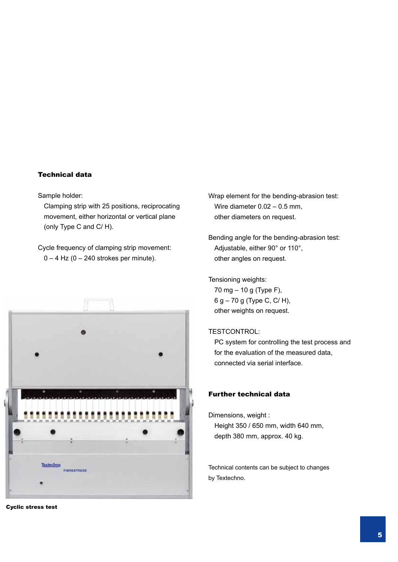## Technical data

Sample holder:

Clamping strip with 25 positions, reciprocating movement, either horizontal or vertical plane (only Type C and C/ H).

Cycle frequency of clamping strip movement:  $0 - 4$  Hz (0 – 240 strokes per minute).



Cyclic stress test

Wrap element for the bending-abrasion test: Wire diameter 0.02 – 0.5 mm, other diameters on request.

Bending angle for the bending-abrasion test: Adjustable, either 90° or 110°, other angles on request.

Tensioning weights:

70 mg – 10 g (Type F), 6 g – 70 g (Type C, C/ H), other weights on request.

# TESTCONTROL:

PC system for controlling the test process and for the evaluation of the measured data, connected via serial interface.

# Further technical data

Dimensions, weight : Height 350 / 650 mm, width 640 mm, depth 380 mm, approx. 40 kg.

Technical contents can be subject to changes by Textechno.